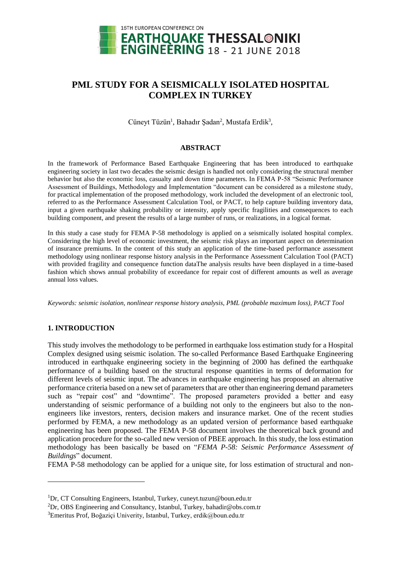

# **PML STUDY FOR A SEISMICALLY ISOLATED HOSPITAL COMPLEX IN TURKEY**

Cüneyt Tüzün<sup>1</sup>, Bahadır Şadan<sup>2</sup>, Mustafa Erdik<sup>3</sup>,

#### **ABSTRACT**

In the framework of Performance Based Earthquake Engineering that has been introduced to earthquake engineering society in last two decades the seismic design is handled not only considering the structural member behavior but also the economic loss, casualty and down time parameters. In FEMA P-58 "Seismic Performance Assessment of Buildings, Methodology and Implementation "document can be considered as a milestone study, for practical implementation of the proposed methodology, work included the development of an electronic tool, referred to as the Performance Assessment Calculation Tool, or PACT, to help capture building inventory data, input a given earthquake shaking probability or intensity, apply specific fragilities and consequences to each building component, and present the results of a large number of runs, or realizations, in a logical format.

In this study a case study for FEMA P-58 methodology is applied on a seismically isolated hospital complex. Considering the high level of economic investment, the seismic risk plays an important aspect on determination of insurance premiums. In the content of this study an application of the time-based performance assessment methodology using nonlinear response history analysis in the Performance Assessment Calculation Tool (PACT) with provided fragility and consequence function dataThe analysis results have been displayed in a time-based fashion which shows annual probability of exceedance for repair cost of different amounts as well as average annual loss values.

*Keywords: seismic isolation, nonlinear response history analysis, PML (probable maximum loss), PACT Tool*

## **1. INTRODUCTION**

 $\overline{a}$ 

This study involves the methodology to be performed in earthquake loss estimation study for a Hospital Complex designed using seismic isolation. The so-called Performance Based Earthquake Engineering introduced in earthquake engineering society in the beginning of 2000 has defined the earthquake performance of a building based on the structural response quantities in terms of deformation for different levels of seismic input. The advances in earthquake engineering has proposed an alternative performance criteria based on a new set of parameters that are other than engineering demand parameters such as "repair cost" and "downtime". The proposed parameters provided a better and easy understanding of seismic performance of a building not only to the engineers but also to the nonengineers like investors, renters, decision makers and insurance market. One of the recent studies performed by FEMA, a new methodology as an updated version of performance based earthquake engineering has been proposed. The FEMA P-58 document involves the theoretical back ground and application procedure for the so-called new version of PBEE approach. In this study, the loss estimation methodology has been basically be based on "*FEMA P-58: Seismic Performance Assessment of Buildings*" document.

FEMA P-58 methodology can be applied for a unique site, for loss estimation of structural and non-

<sup>1</sup>Dr, CT Consulting Engineers, Istanbul, Turkey, cuneyt.tuzun@boun.edu.tr

<sup>&</sup>lt;sup>2</sup>Dr, OBS Engineering and Consultancy, Istanbul, Turkey, bahadir@obs.com.tr

 $3$ Emeritus Prof, Boğazici Univerity, Istanbul, Turkey, erdik@boun.edu.tr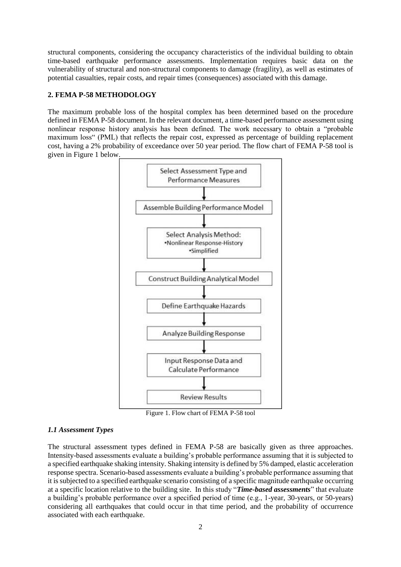structural components, considering the occupancy characteristics of the individual building to obtain time-based earthquake performance assessments. Implementation requires basic data on the vulnerability of structural and non-structural components to damage (fragility), as well as estimates of potential casualties, repair costs, and repair times (consequences) associated with this damage.

# **2. FEMA P-58 METHODOLOGY**

The maximum probable loss of the hospital complex has been determined based on the procedure defined in FEMA P-58 document. In the relevant document, a time-based performance assessment using nonlinear response history analysis has been defined. The work necessary to obtain a "probable maximum loss" (PML) that reflects the repair cost, expressed as percentage of building replacement cost, having a 2% probability of exceedance over 50 year period. The flow chart of FEMA P-58 tool is given in Figure 1 below.



Figure 1. Flow chart of FEMA P-58 tool

## *1.1 Assessment Types*

The structural assessment types defined in FEMA P-58 are basically given as three approaches. Intensity-based assessments evaluate a building's probable performance assuming that it is subjected to a specified earthquake shaking intensity. Shaking intensity is defined by 5% damped, elastic acceleration response spectra. Scenario-based assessments evaluate a building's probable performance assuming that it is subjected to a specified earthquake scenario consisting of a specific magnitude earthquake occurring at a specific location relative to the building site. In this study "*Time-based assessments*" that evaluate a building's probable performance over a specified period of time (e.g., 1-year, 30-years, or 50-years) considering all earthquakes that could occur in that time period, and the probability of occurrence associated with each earthquake.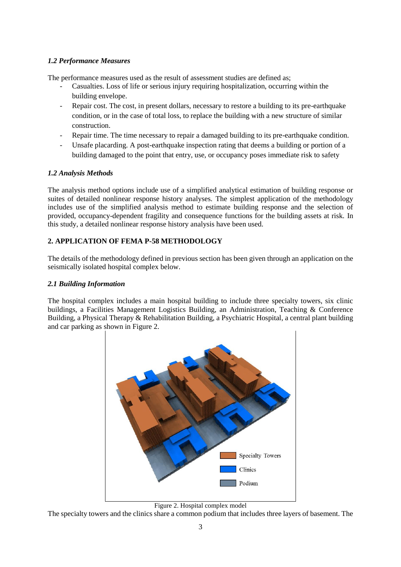## *1.2 Performance Measures*

The performance measures used as the result of assessment studies are defined as;

- Casualties. Loss of life or serious injury requiring hospitalization, occurring within the building envelope.
- Repair cost. The cost, in present dollars, necessary to restore a building to its pre-earthquake condition, or in the case of total loss, to replace the building with a new structure of similar construction.
- Repair time. The time necessary to repair a damaged building to its pre-earthquake condition.
- Unsafe placarding. A post-earthquake inspection rating that deems a building or portion of a building damaged to the point that entry, use, or occupancy poses immediate risk to safety

## *1.2 Analysis Methods*

The analysis method options include use of a simplified analytical estimation of building response or suites of detailed nonlinear response history analyses. The simplest application of the methodology includes use of the simplified analysis method to estimate building response and the selection of provided, occupancy-dependent fragility and consequence functions for the building assets at risk. In this study, a detailed nonlinear response history analysis have been used.

## **2. APPLICATION OF FEMA P-58 METHODOLOGY**

The details of the methodology defined in previous section has been given through an application on the seismically isolated hospital complex below.

#### *2.1 Building Information*

The hospital complex includes a main hospital building to include three specialty towers, six clinic buildings, a Facilities Management Logistics Building, an Administration, Teaching & Conference Building, a Physical Therapy & Rehabilitation Building, a Psychiatric Hospital, a central plant building and car parking as shown in Figure 2.





The specialty towers and the clinics share a common podium that includes three layers of basement. The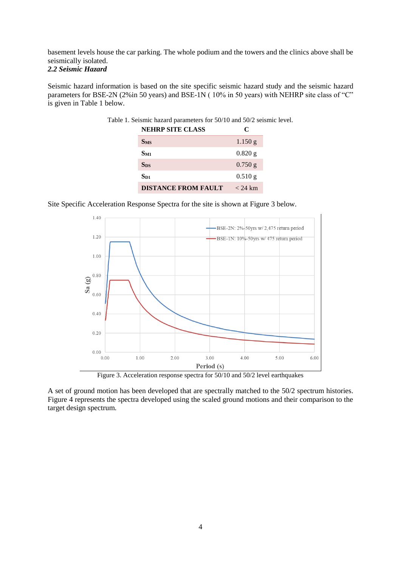basement levels house the car parking. The whole podium and the towers and the clinics above shall be seismically isolated.

## *2.2 Seismic Hazard*

Seismic hazard information is based on the site specific seismic hazard study and the seismic hazard parameters for BSE-2N (2%in 50 years) and BSE-1N (10% in 50 years) with NEHRP site class of "C" is given in Table 1 below.

| Ie 1. Seismic nazard parameters for 50/10 and 50/2 seismic levels |           |
|-------------------------------------------------------------------|-----------|
| <b>NEHRP SITE CLASS</b>                                           | C         |
| S <sub>MS</sub>                                                   | 1.150 g   |
| $S_{M1}$                                                          | $0.820$ g |
| <b>Sps</b>                                                        | $0.750$ g |
| $S_{D1}$                                                          | $0.510$ g |
| <b>DISTANCE FROM FAULT</b>                                        | $<$ 24 km |

Table 1. Seismic hazard parameters for 50/10 and 50/2 seismic level.

Site Specific Acceleration Response Spectra for the site is shown at Figure 3 below.



Figure 3. Acceleration response spectra for 50/10 and 50/2 level earthquakes

A set of ground motion has been developed that are spectrally matched to the 50/2 spectrum histories. Figure 4 represents the spectra developed using the scaled ground motions and their comparison to the target design spectrum.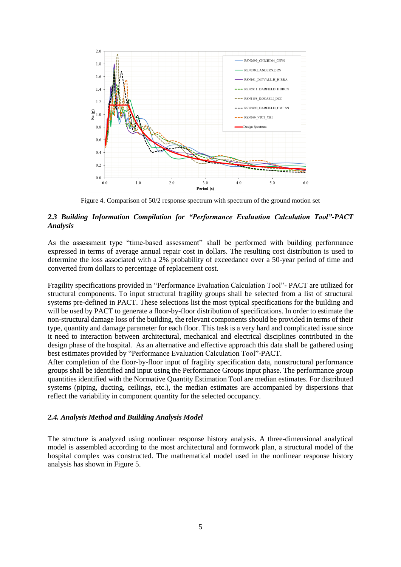

Figure 4. Comparison of 50/2 response spectrum with spectrum of the ground motion set

#### *2.3 Building Information Compilation for "Performance Evaluation Calculation Tool"-PACT Analysis*

As the assessment type "time-based assessment" shall be performed with building performance expressed in terms of average annual repair cost in dollars. The resulting cost distribution is used to determine the loss associated with a 2% probability of exceedance over a 50-year period of time and converted from dollars to percentage of replacement cost.

Fragility specifications provided in "Performance Evaluation Calculation Tool"- PACT are utilized for structural components. To input structural fragility groups shall be selected from a list of structural systems pre-defined in PACT. These selections list the most typical specifications for the building and will be used by PACT to generate a floor-by-floor distribution of specifications. In order to estimate the non-structural damage loss of the building, the relevant components should be provided in terms of their type, quantity and damage parameter for each floor. This task is a very hard and complicated issue since it need to interaction between architectural, mechanical and electrical disciplines contributed in the design phase of the hospital. As an alternative and effective approach this data shall be gathered using best estimates provided by "Performance Evaluation Calculation Tool"-PACT.

After completion of the floor-by-floor input of fragility specification data, nonstructural performance groups shall be identified and input using the Performance Groups input phase. The performance group quantities identified with the Normative Quantity Estimation Tool are median estimates. For distributed systems (piping, ducting, ceilings, etc.), the median estimates are accompanied by dispersions that reflect the variability in component quantity for the selected occupancy.

#### *2.4. Analysis Method and Building Analysis Model*

The structure is analyzed using nonlinear response history analysis. A three-dimensional analytical model is assembled according to the most architectural and formwork plan, a structural model of the hospital complex was constructed. The mathematical model used in the nonlinear response history analysis has shown in Figure 5.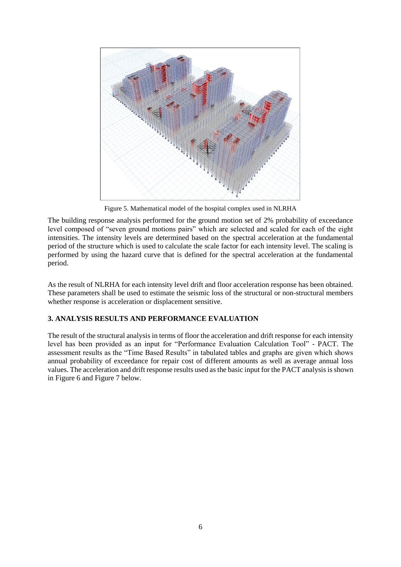

Figure 5. Mathematical model of the hospital complex used in NLRHA

The building response analysis performed for the ground motion set of 2% probability of exceedance level composed of "seven ground motions pairs" which are selected and scaled for each of the eight intensities. The intensity levels are determined based on the spectral acceleration at the fundamental period of the structure which is used to calculate the scale factor for each intensity level. The scaling is performed by using the hazard curve that is defined for the spectral acceleration at the fundamental period.

As the result of NLRHA for each intensity level drift and floor acceleration response has been obtained. These parameters shall be used to estimate the seismic loss of the structural or non-structural members whether response is acceleration or displacement sensitive.

## **3. ANALYSIS RESULTS AND PERFORMANCE EVALUATION**

The result of the structural analysis in terms of floor the acceleration and drift response for each intensity level has been provided as an input for "Performance Evaluation Calculation Tool" - PACT. The assessment results as the "Time Based Results" in tabulated tables and graphs are given which shows annual probability of exceedance for repair cost of different amounts as well as average annual loss values. The acceleration and drift response results used as the basic input for the PACT analysis is shown in Figure 6 and Figure 7 below.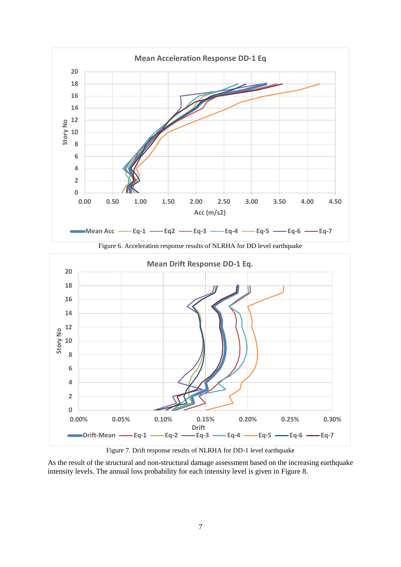

As the result of the structural and non-structural damage assessment based on the increasing earthquake intensity levels. The annual loss probability for each intensity level is given in Figure 8.

Figure 7. Drift response results of NLRHA for DD-1 level earthquake

**Drift**

**0.00% 0.05% 0.10% 0.15% 0.20% 0.25% 0.30%**

**Drift-Mean Eq-1 Eq-2 Eq-3 Eq-4 Eq-5 Eq-6 Eq-7**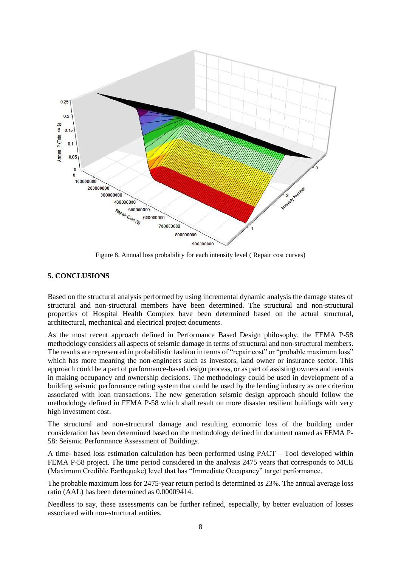

Figure 8. Annual loss probability for each intensity level ( Repair cost curves)

#### **5. CONCLUSIONS**

Based on the structural analysis performed by using incremental dynamic analysis the damage states of structural and non-structural members have been determined. The structural and non-structural properties of Hospital Health Complex have been determined based on the actual structural, architectural, mechanical and electrical project documents.

As the most recent approach defined in Performance Based Design philosophy, the FEMA P-58 methodology considers all aspects of seismic damage in terms of structural and non-structural members. The results are represented in probabilistic fashion in terms of "repair cost" or "probable maximum loss" which has more meaning the non-engineers such as investors, land owner or insurance sector. This approach could be a part of performance-based design process, or as part of assisting owners and tenants in making occupancy and ownership decisions. The methodology could be used in development of a building seismic performance rating system that could be used by the lending industry as one criterion associated with loan transactions. The new generation seismic design approach should follow the methodology defined in FEMA P-58 which shall result on more disaster resilient buildings with very high investment cost.

The structural and non-structural damage and resulting economic loss of the building under consideration has been determined based on the methodology defined in document named as FEMA P-58: Seismic Performance Assessment of Buildings.

A time- based loss estimation calculation has been performed using PACT – Tool developed within FEMA P-58 project. The time period considered in the analysis 2475 years that corresponds to MCE (Maximum Credible Earthquake) level that has "Immediate Occupancy" target performance.

The probable maximum loss for 2475-year return period is determined as 23%. The annual average loss ratio (AAL) has been determined as 0.00009414.

Needless to say, these assessments can be further refined, especially, by better evaluation of losses associated with non-structural entities.